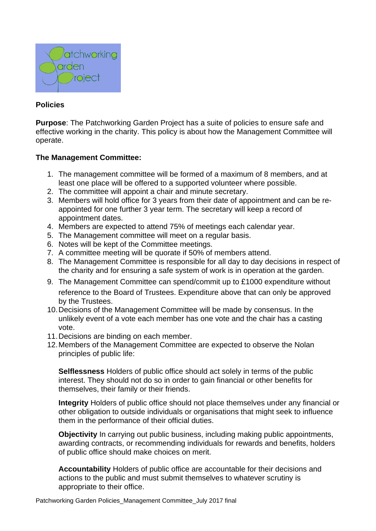

## **Policies**

**Purpose**: The Patchworking Garden Project has a suite of policies to ensure safe and effective working in the charity. This policy is about how the Management Committee will operate.

## **The Management Committee:**

- 1. The management committee will be formed of a maximum of 8 members, and at least one place will be offered to a supported volunteer where possible.
- 2. The committee will appoint a chair and minute secretary.
- 3. Members will hold office for 3 years from their date of appointment and can be reappointed for one further 3 year term. The secretary will keep a record of appointment dates.
- 4. Members are expected to attend 75% of meetings each calendar year.
- 5. The Management committee will meet on a regular basis.
- 6. Notes will be kept of the Committee meetings.
- 7. A committee meeting will be quorate if 50% of members attend.
- 8. The Management Committee is responsible for all day to day decisions in respect of the charity and for ensuring a safe system of work is in operation at the garden.
- 9. The Management Committee can spend/commit up to £1000 expenditure without reference to the Board of Trustees. Expenditure above that can only be approved by the Trustees.
- 10.Decisions of the Management Committee will be made by consensus. In the unlikely event of a vote each member has one vote and the chair has a casting vote.
- 11.Decisions are binding on each member.
- 12.Members of the Management Committee are expected to observe the Nolan principles of public life:

**Selflessness** Holders of public office should act solely in terms of the public interest. They should not do so in order to gain financial or other benefits for themselves, their family or their friends.

**Integrity** Holders of public office should not place themselves under any financial or other obligation to outside individuals or organisations that might seek to influence them in the performance of their official duties.

**Objectivity** In carrying out public business, including making public appointments, awarding contracts, or recommending individuals for rewards and benefits, holders of public office should make choices on merit.

**Accountability** Holders of public office are accountable for their decisions and actions to the public and must submit themselves to whatever scrutiny is appropriate to their office.